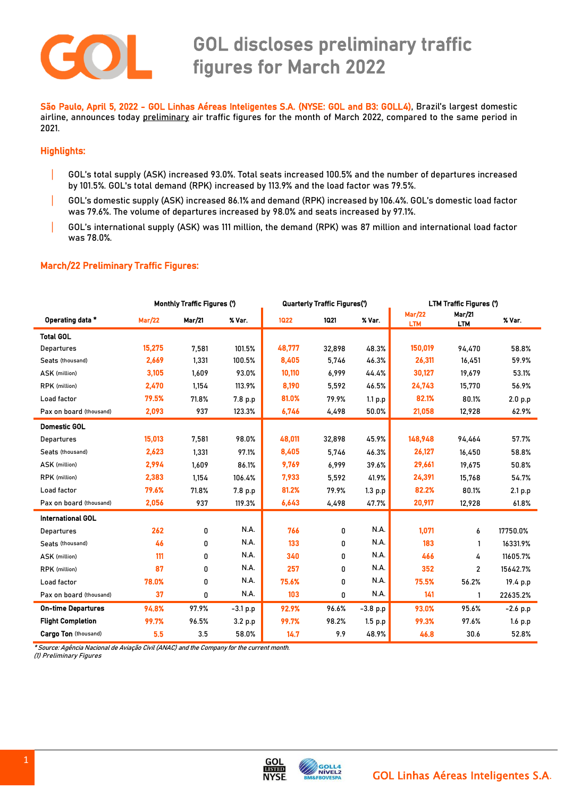

 São Paulo, April 5, 2022 - GOL Linhas Aéreas Inteligentes S.A. (NYSE: GOL and B3: GOLL4), Brazil's largest domestic airline, announces today preliminary air traffic figures for the month of March 2022, compared to the same period in 2021.

### Highlights:

- | GOL's total supply (ASK) increased 93.0%. Total seats increased 100.5% and the number of departures increased by 101.5%. GOL's total demand (RPK) increased by 113.9% and the load factor was 79.5%.
- | GOL's domestic supply (ASK) increased 86.1% and demand (RPK) increased by 106.4%. GOL's domestic load factor was 79.6%. The volume of departures increased by 98.0% and seats increased by 97.1%.
- | GOL's international supply (ASK) was 111 million, the demand (RPK) was 87 million and international load factor was 78.0%.

#### March/22 Preliminary Traffic Figures:

|                           | <b>Monthly Traffic Figures (')</b> |          |             | Quarterly Traffic Figures(') |          |            | <b>LTM Traffic Figures (')</b> |                             |            |
|---------------------------|------------------------------------|----------|-------------|------------------------------|----------|------------|--------------------------------|-----------------------------|------------|
| Operating data *          | <b>Mar/22</b>                      | Mar/21   | % Var.      | 1022                         | 1021     | % Var.     | <b>Mar/22</b><br><b>LTM</b>    | <b>Mar/21</b><br><b>LTM</b> | % Var.     |
| <b>Total GOL</b>          |                                    |          |             |                              |          |            |                                |                             |            |
| Departures                | 15.275                             | 7.581    | 101.5%      | 48,777                       | 32,898   | 48.3%      | 150,019                        | 94,470                      | 58.8%      |
| Seats (thousand)          | 2,669                              | 1,331    | 100.5%      | 8,405                        | 5,746    | 46.3%      | 26,311                         | 16,451                      | 59.9%      |
| ASK (million)             | 3,105                              | 1,609    | 93.0%       | 10,110                       | 6,999    | 44.4%      | 30,127                         | 19,679                      | 53.1%      |
| RPK (million)             | 2,470                              | 1,154    | 113.9%      | 8,190                        | 5,592    | 46.5%      | 24,743                         | 15,770                      | 56.9%      |
| Load factor               | 79.5%                              | 71.8%    | 7.8 p.p     | 81.0%                        | 79.9%    | 1.1 p.p    | 82.1%                          | 80.1%                       | 2.0 p.p    |
| Pax on board (thousand)   | 2,093                              | 937      | 123.3%      | 6,746                        | 4,498    | 50.0%      | 21,058                         | 12,928                      | 62.9%      |
| <b>Domestic GOL</b>       |                                    |          |             |                              |          |            |                                |                             |            |
| Departures                | 15,013                             | 7,581    | 98.0%       | 48,011                       | 32,898   | 45.9%      | 148,948                        | 94,464                      | 57.7%      |
| Seats (thousand)          | 2,623                              | 1,331    | 97.1%       | 8,405                        | 5,746    | 46.3%      | 26,127                         | 16,450                      | 58.8%      |
| ASK (million)             | 2,994                              | 1,609    | 86.1%       | 9,769                        | 6,999    | 39.6%      | 29,661                         | 19,675                      | 50.8%      |
| <b>RPK</b> (million)      | 2,383                              | 1.154    | 106.4%      | 7,933                        | 5,592    | 41.9%      | 24,391                         | 15.768                      | 54.7%      |
| Load factor               | 79.6%                              | 71.8%    | 7.8 p.p     | 81.2%                        | 79.9%    | 1.3 p.p    | 82.2%                          | 80.1%                       | 2.1 p.p    |
| Pax on board (thousand)   | 2,056                              | 937      | 119.3%      | 6,643                        | 4,498    | 47.7%      | 20,917                         | 12,928                      | 61.8%      |
| <b>International GOL</b>  |                                    |          |             |                              |          |            |                                |                             |            |
| Departures                | 262                                | 0        | N.A.        | 766                          | 0        | N.A.       | 1.071                          | 6                           | 17750.0%   |
| Seats (thousand)          | 46                                 | 0        | <b>N.A.</b> | 133                          | 0        | N.A.       | 183                            | 1                           | 16331.9%   |
| ASK (million)             | 111                                | 0        | <b>N.A.</b> | 340                          | O.       | N.A.       | 466                            | 4                           | 11605.7%   |
| <b>RPK</b> (million)      | 87                                 | $\Omega$ | N.A.        | 257                          | $\Omega$ | N.A.       | 352                            | $\mathfrak{p}$              | 15642.7%   |
| Load factor               | 78.0%                              | 0        | N.A.        | 75.6%                        | 0        | N.A.       | 75.5%                          | 56.2%                       | 19.4 p.p   |
| Pax on board (thousand)   | 37                                 | 0        | N.A.        | 103                          | 0        | N.A.       | 141                            | 1                           | 22635.2%   |
| <b>On-time Departures</b> | 94.8%                              | 97.9%    | $-3.1 p.p$  | 92.9%                        | 96.6%    | $-3.8$ p.p | 93.0%                          | 95.6%                       | $-2.6$ p.p |
| <b>Flight Completion</b>  | 99.7%                              | 96.5%    | 3.2 p.p     | 99.7%                        | 98.2%    | 1.5 p.p    | 99.3%                          | 97.6%                       | $1.6$ p.p  |
| Cargo Ton (thousand)      | 5.5                                | 3.5      | 58.0%       | 14.7                         | 9.9      | 48.9%      | 46.8                           | 30.6                        | 52.8%      |

\* Source: Agência Nacional de Aviação Civil (ANAC) and the Company for the current month.

(1) Preliminary Figures